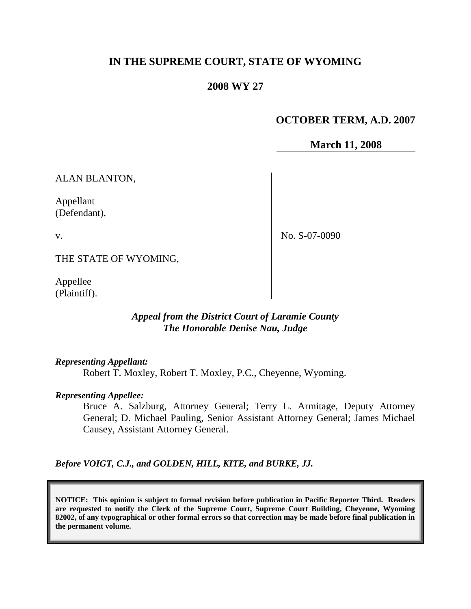# **IN THE SUPREME COURT, STATE OF WYOMING**

#### **2008 WY 27**

# **OCTOBER TERM, A.D. 2007**

**March 11, 2008**

ALAN BLANTON,

Appellant (Defendant),

v.

No. S-07-0090

THE STATE OF WYOMING,

Appellee (Plaintiff).

#### *Appeal from the District Court of Laramie County The Honorable Denise Nau, Judge*

*Representing Appellant:*

Robert T. Moxley, Robert T. Moxley, P.C., Cheyenne, Wyoming.

*Representing Appellee:*

Bruce A. Salzburg, Attorney General; Terry L. Armitage, Deputy Attorney General; D. Michael Pauling, Senior Assistant Attorney General; James Michael Causey, Assistant Attorney General.

*Before VOIGT, C.J., and GOLDEN, HILL, KITE, and BURKE, JJ.*

**NOTICE: This opinion is subject to formal revision before publication in Pacific Reporter Third. Readers are requested to notify the Clerk of the Supreme Court, Supreme Court Building, Cheyenne, Wyoming 82002, of any typographical or other formal errors so that correction may be made before final publication in the permanent volume.**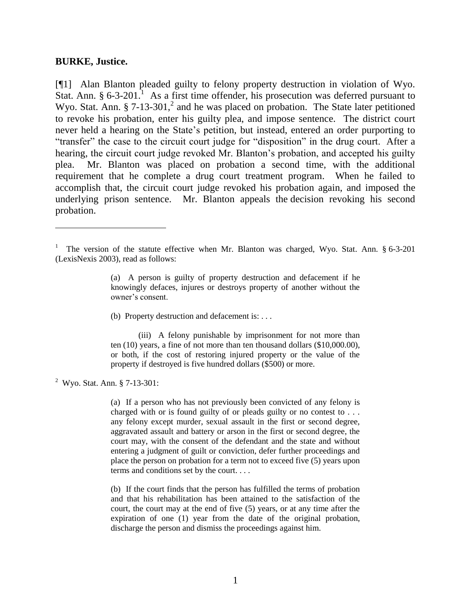#### **BURKE, Justice.**

 $\overline{a}$ 

[¶1] Alan Blanton pleaded guilty to felony property destruction in violation of Wyo. Stat. Ann.  $\S 6-3-201$ <sup>1</sup> As a first time offender, his prosecution was deferred pursuant to Wyo. Stat. Ann.  $\S 7-13-301$ , and he was placed on probation. The State later petitioned to revoke his probation, enter his guilty plea, and impose sentence. The district court never held a hearing on the State's petition, but instead, entered an order purporting to "transfer" the case to the circuit court judge for "disposition" in the drug court. After a hearing, the circuit court judge revoked Mr. Blanton's probation, and accepted his guilty plea. Mr. Blanton was placed on probation a second time, with the additional requirement that he complete a drug court treatment program. When he failed to accomplish that, the circuit court judge revoked his probation again, and imposed the underlying prison sentence. Mr. Blanton appeals the decision revoking his second probation.

(b) Property destruction and defacement is: . . .

(iii) A felony punishable by imprisonment for not more than ten (10) years, a fine of not more than ten thousand dollars (\$10,000.00), or both, if the cost of restoring injured property or the value of the property if destroyed is five hundred dollars (\$500) or more.

<sup>2</sup> Wyo. Stat. Ann. § 7-13-301:

(a) If a person who has not previously been convicted of any felony is charged with or is found guilty of or pleads guilty or no contest to . . . any felony except murder, sexual assault in the first or second degree, aggravated assault and battery or arson in the first or second degree, the court may, with the consent of the defendant and the state and without entering a judgment of guilt or conviction, defer further proceedings and place the person on probation for a term not to exceed five (5) years upon terms and conditions set by the court. . . .

(b) If the court finds that the person has fulfilled the terms of probation and that his rehabilitation has been attained to the satisfaction of the court, the court may at the end of five (5) years, or at any time after the expiration of one (1) year from the date of the original probation, discharge the person and dismiss the proceedings against him.

<sup>1</sup> The version of the statute effective when Mr. Blanton was charged, Wyo. Stat. Ann. § 6-3-201 (LexisNexis 2003), read as follows:

<sup>(</sup>a) A person is guilty of property destruction and defacement if he knowingly defaces, injures or destroys property of another without the owner's consent.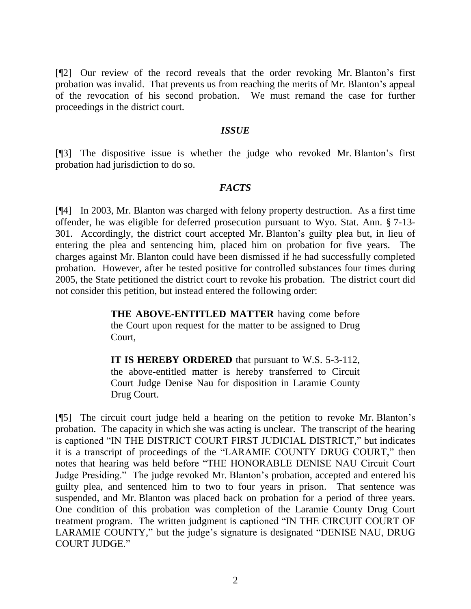[¶2] Our review of the record reveals that the order revoking Mr. Blanton's first probation was invalid. That prevents us from reaching the merits of Mr. Blanton's appeal of the revocation of his second probation. We must remand the case for further proceedings in the district court.

#### *ISSUE*

[¶3] The dispositive issue is whether the judge who revoked Mr. Blanton's first probation had jurisdiction to do so.

#### *FACTS*

[¶4] In 2003, Mr. Blanton was charged with felony property destruction. As a first time offender, he was eligible for deferred prosecution pursuant to Wyo. Stat. Ann. § 7-13- 301. Accordingly, the district court accepted Mr. Blanton's guilty plea but, in lieu of entering the plea and sentencing him, placed him on probation for five years. The charges against Mr. Blanton could have been dismissed if he had successfully completed probation. However, after he tested positive for controlled substances four times during 2005, the State petitioned the district court to revoke his probation. The district court did not consider this petition, but instead entered the following order:

> **THE ABOVE-ENTITLED MATTER** having come before the Court upon request for the matter to be assigned to Drug Court,

> **IT IS HEREBY ORDERED** that pursuant to W.S. 5-3-112, the above-entitled matter is hereby transferred to Circuit Court Judge Denise Nau for disposition in Laramie County Drug Court.

[¶5] The circuit court judge held a hearing on the petition to revoke Mr. Blanton's probation. The capacity in which she was acting is unclear. The transcript of the hearing is captioned "IN THE DISTRICT COURT FIRST JUDICIAL DISTRICT," but indicates it is a transcript of proceedings of the "LARAMIE COUNTY DRUG COURT," then notes that hearing was held before "THE HONORABLE DENISE NAU Circuit Court Judge Presiding." The judge revoked Mr. Blanton's probation, accepted and entered his guilty plea, and sentenced him to two to four years in prison. That sentence was suspended, and Mr. Blanton was placed back on probation for a period of three years. One condition of this probation was completion of the Laramie County Drug Court treatment program. The written judgment is captioned "IN THE CIRCUIT COURT OF LARAMIE COUNTY," but the judge's signature is designated "DENISE NAU, DRUG COURT JUDGE."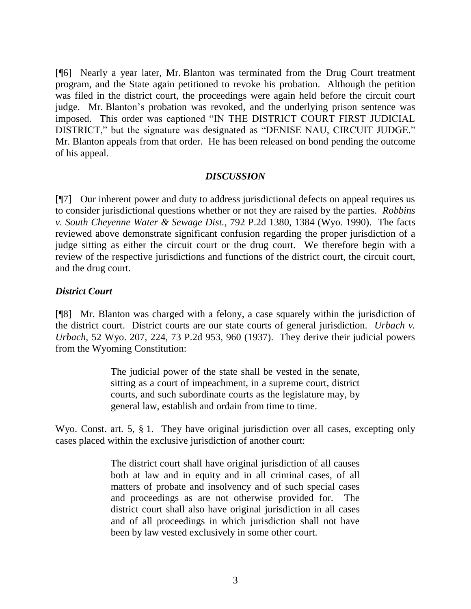[¶6] Nearly a year later, Mr. Blanton was terminated from the Drug Court treatment program, and the State again petitioned to revoke his probation. Although the petition was filed in the district court, the proceedings were again held before the circuit court judge. Mr. Blanton's probation was revoked, and the underlying prison sentence was imposed. This order was captioned "IN THE DISTRICT COURT FIRST JUDICIAL DISTRICT," but the signature was designated as "DENISE NAU, CIRCUIT JUDGE." Mr. Blanton appeals from that order. He has been released on bond pending the outcome of his appeal.

#### *DISCUSSION*

[¶7] Our inherent power and duty to address jurisdictional defects on appeal requires us to consider jurisdictional questions whether or not they are raised by the parties. *Robbins v. South Cheyenne Water & Sewage Dist.*, 792 P.2d 1380, 1384 (Wyo. 1990). The facts reviewed above demonstrate significant confusion regarding the proper jurisdiction of a judge sitting as either the circuit court or the drug court. We therefore begin with a review of the respective jurisdictions and functions of the district court, the circuit court, and the drug court.

#### *District Court*

[¶8] Mr. Blanton was charged with a felony, a case squarely within the jurisdiction of the district court. District courts are our state courts of general jurisdiction. *Urbach v. Urbach*, 52 Wyo. 207, 224, 73 P.2d 953, 960 (1937). They derive their judicial powers from the Wyoming Constitution:

> The judicial power of the state shall be vested in the senate, sitting as a court of impeachment, in a supreme court, district courts, and such subordinate courts as the legislature may, by general law, establish and ordain from time to time.

Wyo. Const. art. 5, § 1. They have original jurisdiction over all cases, excepting only cases placed within the exclusive jurisdiction of another court:

> The district court shall have original jurisdiction of all causes both at law and in equity and in all criminal cases, of all matters of probate and insolvency and of such special cases and proceedings as are not otherwise provided for. The district court shall also have original jurisdiction in all cases and of all proceedings in which jurisdiction shall not have been by law vested exclusively in some other court.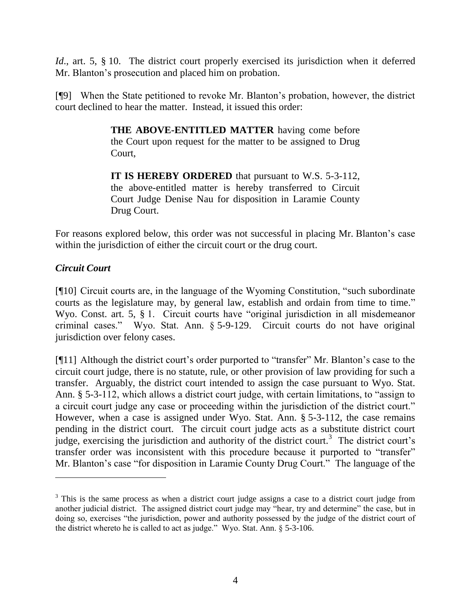*Id.*, art. 5, § 10. The district court properly exercised its jurisdiction when it deferred Mr. Blanton's prosecution and placed him on probation.

[¶9] When the State petitioned to revoke Mr. Blanton's probation, however, the district court declined to hear the matter. Instead, it issued this order:

> **THE ABOVE-ENTITLED MATTER** having come before the Court upon request for the matter to be assigned to Drug Court,

> **IT IS HEREBY ORDERED** that pursuant to W.S. 5-3-112, the above-entitled matter is hereby transferred to Circuit Court Judge Denise Nau for disposition in Laramie County Drug Court.

For reasons explored below, this order was not successful in placing Mr. Blanton's case within the jurisdiction of either the circuit court or the drug court.

# *Circuit Court*

 $\overline{a}$ 

[¶10] Circuit courts are, in the language of the Wyoming Constitution, "such subordinate courts as the legislature may, by general law, establish and ordain from time to time." Wyo. Const. art. 5, § 1. Circuit courts have "original jurisdiction in all misdemeanor criminal cases." Wyo. Stat. Ann. § 5-9-129. Circuit courts do not have original jurisdiction over felony cases.

[¶11] Although the district court's order purported to "transfer" Mr. Blanton's case to the circuit court judge, there is no statute, rule, or other provision of law providing for such a transfer. Arguably, the district court intended to assign the case pursuant to Wyo. Stat. Ann. § 5-3-112, which allows a district court judge, with certain limitations, to "assign to a circuit court judge any case or proceeding within the jurisdiction of the district court." However, when a case is assigned under Wyo. Stat. Ann. § 5-3-112, the case remains pending in the district court. The circuit court judge acts as a substitute district court judge, exercising the jurisdiction and authority of the district court.<sup>3</sup> The district court's transfer order was inconsistent with this procedure because it purported to "transfer" Mr. Blanton's case "for disposition in Laramie County Drug Court." The language of the

<sup>&</sup>lt;sup>3</sup> This is the same process as when a district court judge assigns a case to a district court judge from another judicial district. The assigned district court judge may "hear, try and determine" the case, but in doing so, exercises "the jurisdiction, power and authority possessed by the judge of the district court of the district whereto he is called to act as judge." Wyo. Stat. Ann. § 5-3-106.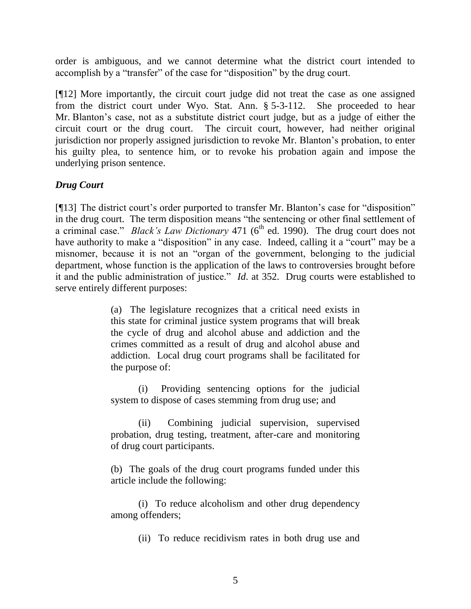order is ambiguous, and we cannot determine what the district court intended to accomplish by a "transfer" of the case for "disposition" by the drug court.

[¶12] More importantly, the circuit court judge did not treat the case as one assigned from the district court under Wyo. Stat. Ann. § 5-3-112. She proceeded to hear Mr. Blanton's case, not as a substitute district court judge, but as a judge of either the circuit court or the drug court. The circuit court, however, had neither original jurisdiction nor properly assigned jurisdiction to revoke Mr. Blanton's probation, to enter his guilty plea, to sentence him, or to revoke his probation again and impose the underlying prison sentence.

## *Drug Court*

[¶13] The district court's order purported to transfer Mr. Blanton's case for "disposition" in the drug court. The term disposition means "the sentencing or other final settlement of a criminal case." *Black's Law Dictionary* 471 (6<sup>th</sup> ed. 1990). The drug court does not have authority to make a "disposition" in any case. Indeed, calling it a "court" may be a misnomer, because it is not an "organ of the government, belonging to the judicial department, whose function is the application of the laws to controversies brought before it and the public administration of justice." *Id*. at 352. Drug courts were established to serve entirely different purposes:

> (a) The legislature recognizes that a critical need exists in this state for criminal justice system programs that will break the cycle of drug and alcohol abuse and addiction and the crimes committed as a result of drug and alcohol abuse and addiction. Local drug court programs shall be facilitated for the purpose of:

> (i) Providing sentencing options for the judicial system to dispose of cases stemming from drug use; and

> (ii) Combining judicial supervision, supervised probation, drug testing, treatment, after-care and monitoring of drug court participants.

> (b) The goals of the drug court programs funded under this article include the following:

> (i) To reduce alcoholism and other drug dependency among offenders;

> > (ii) To reduce recidivism rates in both drug use and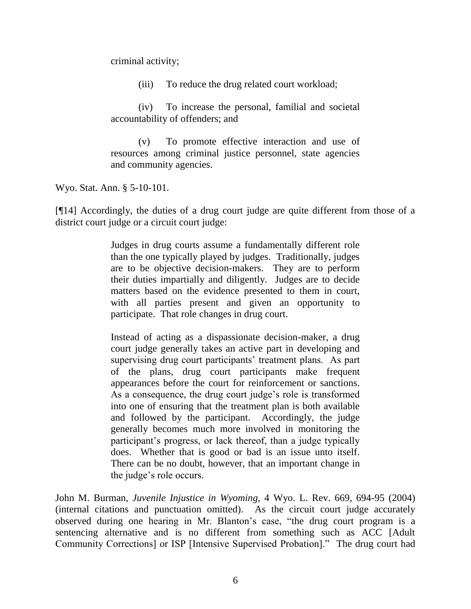criminal activity;

(iii) To reduce the drug related court workload;

(iv) To increase the personal, familial and societal accountability of offenders; and

(v) To promote effective interaction and use of resources among criminal justice personnel, state agencies and community agencies.

Wyo. Stat. Ann. § 5-10-101.

[¶14] Accordingly, the duties of a drug court judge are quite different from those of a district court judge or a circuit court judge:

> Judges in drug courts assume a fundamentally different role than the one typically played by judges. Traditionally, judges are to be objective decision-makers. They are to perform their duties impartially and diligently. Judges are to decide matters based on the evidence presented to them in court, with all parties present and given an opportunity to participate. That role changes in drug court.

> Instead of acting as a dispassionate decision-maker, a drug court judge generally takes an active part in developing and supervising drug court participants' treatment plans. As part of the plans, drug court participants make frequent appearances before the court for reinforcement or sanctions. As a consequence, the drug court judge's role is transformed into one of ensuring that the treatment plan is both available and followed by the participant. Accordingly, the judge generally becomes much more involved in monitoring the participant's progress, or lack thereof, than a judge typically does. Whether that is good or bad is an issue unto itself. There can be no doubt, however, that an important change in the judge's role occurs.

John M. Burman, *Juvenile Injustice in Wyoming*, 4 Wyo. L. Rev. 669, 694-95 (2004) (internal citations and punctuation omitted). As the circuit court judge accurately observed during one hearing in Mr. Blanton's case, "the drug court program is a sentencing alternative and is no different from something such as ACC [Adult Community Corrections] or ISP [Intensive Supervised Probation]." The drug court had